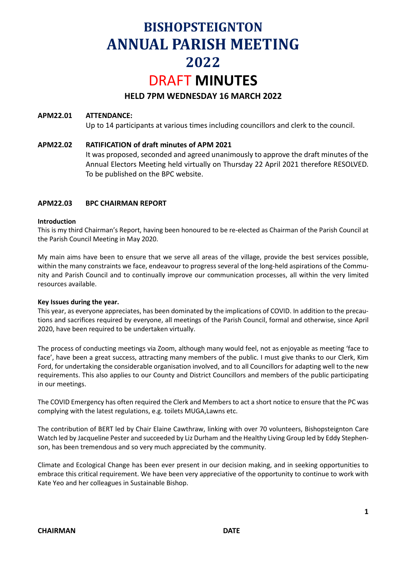# **BISHOPSTEIGNTON ANNUAL PARISH MEETING 2022** DRAFT **MINUTES**

## **HELD 7PM WEDNESDAY 16 MARCH 2022**

## **APM22.01 ATTENDANCE:**

Up to 14 participants at various times including councillors and clerk to the council.

## **APM22.02 RATIFICATION of draft minutes of APM 2021**

It was proposed, seconded and agreed unanimously to approve the draft minutes of the Annual Electors Meeting held virtually on Thursday 22 April 2021 therefore RESOLVED. To be published on the BPC website.

## **APM22.03 BPC CHAIRMAN REPORT**

#### **Introduction**

This is my third Chairman's Report, having been honoured to be re-elected as Chairman of the Parish Council at the Parish Council Meeting in May 2020.

My main aims have been to ensure that we serve all areas of the village, provide the best services possible, within the many constraints we face, endeavour to progress several of the long-held aspirations of the Community and Parish Council and to continually improve our communication processes, all within the very limited resources available.

#### **Key Issues during the year.**

This year, as everyone appreciates, has been dominated by the implications of COVID. In addition to the precautions and sacrifices required by everyone, all meetings of the Parish Council, formal and otherwise, since April 2020, have been required to be undertaken virtually.

The process of conducting meetings via Zoom, although many would feel, not as enjoyable as meeting 'face to face', have been a great success, attracting many members of the public. I must give thanks to our Clerk, Kim Ford, for undertaking the considerable organisation involved, and to all Councillors for adapting well to the new requirements. This also applies to our County and District Councillors and members of the public participating in our meetings.

The COVID Emergency has often required the Clerk and Members to act a short notice to ensure that the PC was complying with the latest regulations, e.g. toilets MUGA,Lawns etc.

The contribution of BERT led by Chair Elaine Cawthraw, linking with over 70 volunteers, Bishopsteignton Care Watch led by Jacqueline Pester and succeeded by Liz Durham and the Healthy Living Group led by Eddy Stephenson, has been tremendous and so very much appreciated by the community.

Climate and Ecological Change has been ever present in our decision making, and in seeking opportunities to embrace this critical requirement. We have been very appreciative of the opportunity to continue to work with Kate Yeo and her colleagues in Sustainable Bishop.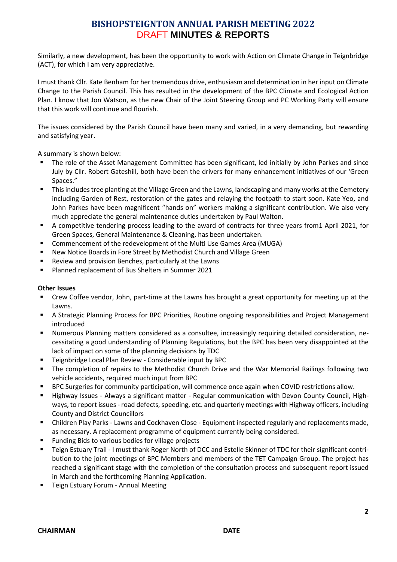# **BISHOPSTEIGNTON ANNUAL PARISH MEETING 2022** DRAFT **MINUTES & REPORTS**

Similarly, a new development, has been the opportunity to work with Action on Climate Change in Teignbridge (ACT), for which I am very appreciative.

I must thank Cllr. Kate Benham for her tremendous drive, enthusiasm and determination in her input on Climate Change to the Parish Council. This has resulted in the development of the BPC Climate and Ecological Action Plan. I know that Jon Watson, as the new Chair of the Joint Steering Group and PC Working Party will ensure that this work will continue and flourish.

The issues considered by the Parish Council have been many and varied, in a very demanding, but rewarding and satisfying year.

A summary is shown below:

- The role of the Asset Management Committee has been significant, led initially by John Parkes and since July by Cllr. Robert Gateshill, both have been the drivers for many enhancement initiatives of our 'Green Spaces."
- This includes tree planting at the Village Green and the Lawns, landscaping and many works at the Cemetery including Garden of Rest, restoration of the gates and relaying the footpath to start soon. Kate Yeo, and John Parkes have been magnificent "hands on" workers making a significant contribution. We also very much appreciate the general maintenance duties undertaken by Paul Walton.
- A competitive tendering process leading to the award of contracts for three years from1 April 2021, for Green Spaces, General Maintenance & Cleaning, has been undertaken.
- Commencement of the redevelopment of the Multi Use Games Area (MUGA)
- New Notice Boards in Fore Street by Methodist Church and Village Green
- Review and provision Benches, particularly at the Lawns
- Planned replacement of Bus Shelters in Summer 2021

#### **Other Issues**

- Crew Coffee vendor, John, part-time at the Lawns has brought a great opportunity for meeting up at the Lawns.
- A Strategic Planning Process for BPC Priorities, Routine ongoing responsibilities and Project Management introduced
- Numerous Planning matters considered as a consultee, increasingly requiring detailed consideration, necessitating a good understanding of Planning Regulations, but the BPC has been very disappointed at the lack of impact on some of the planning decisions by TDC
- Teignbridge Local Plan Review Considerable input by BPC
- The completion of repairs to the Methodist Church Drive and the War Memorial Railings following two vehicle accidents, required much input from BPC
- BPC Surgeries for community participation, will commence once again when COVID restrictions allow.
- Highway Issues Always a significant matter Regular communication with Devon County Council, Highways, to report issues - road defects, speeding, etc. and quarterly meetings with Highway officers, including County and District Councillors
- Children Play Parks Lawns and Cockhaven Close Equipment inspected regularly and replacements made, as necessary. A replacement programme of equipment currently being considered.
- Funding Bids to various bodies for village projects
- Teign Estuary Trail I must thank Roger North of DCC and Estelle Skinner of TDC for their significant contribution to the joint meetings of BPC Members and members of the TET Campaign Group. The project has reached a significant stage with the completion of the consultation process and subsequent report issued in March and the forthcoming Planning Application.
- Teign Estuary Forum Annual Meeting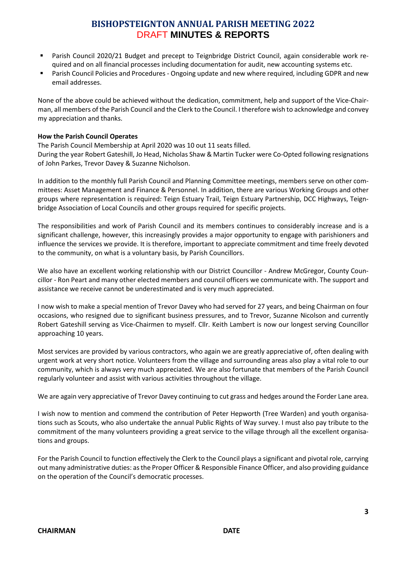# **BISHOPSTEIGNTON ANNUAL PARISH MEETING 2022** DRAFT **MINUTES & REPORTS**

- Parish Council 2020/21 Budget and precept to Teignbridge District Council, again considerable work required and on all financial processes including documentation for audit, new accounting systems etc.
- Parish Council Policies and Procedures Ongoing update and new where required, including GDPR and new email addresses.

None of the above could be achieved without the dedication, commitment, help and support of the Vice-Chairman, all members of the Parish Council and the Clerk to the Council. I therefore wish to acknowledge and convey my appreciation and thanks.

#### **How the Parish Council Operates**

The Parish Council Membership at April 2020 was 10 out 11 seats filled. During the year Robert Gateshill, Jo Head, Nicholas Shaw & Martin Tucker were Co-Opted following resignations of John Parkes, Trevor Davey & Suzanne Nicholson.

In addition to the monthly full Parish Council and Planning Committee meetings, members serve on other committees: Asset Management and Finance & Personnel. In addition, there are various Working Groups and other groups where representation is required: Teign Estuary Trail, Teign Estuary Partnership, DCC Highways, Teignbridge Association of Local Councils and other groups required for specific projects.

The responsibilities and work of Parish Council and its members continues to considerably increase and is a significant challenge, however, this increasingly provides a major opportunity to engage with parishioners and influence the services we provide. It is therefore, important to appreciate commitment and time freely devoted to the community, on what is a voluntary basis, by Parish Councillors.

We also have an excellent working relationship with our District Councillor - Andrew McGregor, County Councillor - Ron Peart and many other elected members and council officers we communicate with. The support and assistance we receive cannot be underestimated and is very much appreciated.

I now wish to make a special mention of Trevor Davey who had served for 27 years, and being Chairman on four occasions, who resigned due to significant business pressures, and to Trevor, Suzanne Nicolson and currently Robert Gateshill serving as Vice-Chairmen to myself. Cllr. Keith Lambert is now our longest serving Councillor approaching 10 years.

Most services are provided by various contractors, who again we are greatly appreciative of, often dealing with urgent work at very short notice. Volunteers from the village and surrounding areas also play a vital role to our community, which is always very much appreciated. We are also fortunate that members of the Parish Council regularly volunteer and assist with various activities throughout the village.

We are again very appreciative of Trevor Davey continuing to cut grass and hedges around the Forder Lane area.

I wish now to mention and commend the contribution of Peter Hepworth (Tree Warden) and youth organisations such as Scouts, who also undertake the annual Public Rights of Way survey. I must also pay tribute to the commitment of the many volunteers providing a great service to the village through all the excellent organisations and groups.

For the Parish Council to function effectively the Clerk to the Council plays a significant and pivotal role, carrying out many administrative duties: asthe Proper Officer & Responsible Finance Officer, and also providing guidance on the operation of the Council's democratic processes.